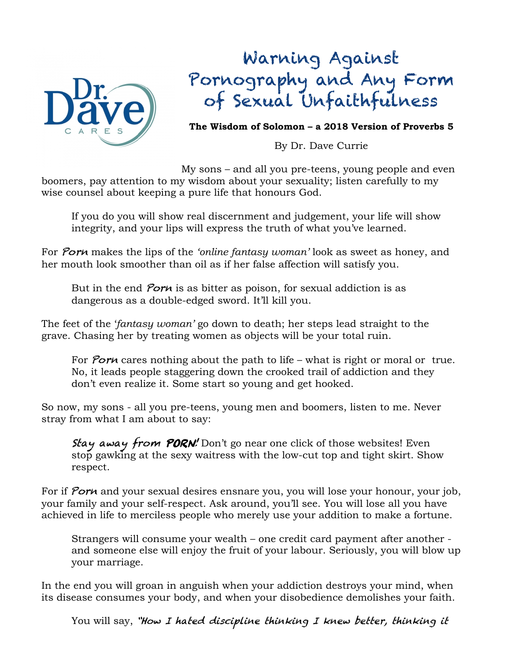

## Warning Against Pornography and Any Form of Sexual Unfaithfulness

**The Wisdom of Solomon – a 2018 Version of Proverbs 5**

By Dr. Dave Currie

My sons – and all you pre-teens, young people and even boomers, pay attention to my wisdom about your sexuality; listen carefully to my wise counsel about keeping a pure life that honours God.

 If you do you will show real discernment and judgement, your life will show integrity, and your lips will express the truth of what you've learned.

For Porn makes the lips of the *'online fantasy woman'* look as sweet as honey, and her mouth look smoother than oil as if her false affection will satisfy you.

But in the end *Porn* is as bitter as poison, for sexual addiction is as dangerous as a double-edged sword. It'll kill you.

The feet of the '*fantasy woman'* go down to death; her steps lead straight to the grave. Chasing her by treating women as objects will be your total ruin.

For Porn cares nothing about the path to life – what is right or moral or true. No, it leads people staggering down the crooked trail of addiction and they don't even realize it. Some start so young and get hooked.

So now, my sons - all you pre-teens, young men and boomers, listen to me. Never stray from what I am about to say:

Stay away from PORN! Don't go near one click of those websites! Even stop gawking at the sexy waitress with the low-cut top and tight skirt. Show respect.

For if Porn and your sexual desires ensnare you, you will lose your honour, your job, your family and your self-respect. Ask around, you'll see. You will lose all you have achieved in life to merciless people who merely use your addition to make a fortune.

Strangers will consume your wealth – one credit card payment after another and someone else will enjoy the fruit of your labour. Seriously, you will blow up your marriage.

In the end you will groan in anguish when your addiction destroys your mind, when its disease consumes your body, and when your disobedience demolishes your faith.

You will say, "How I hated discipline thinking I knew better, thinking it